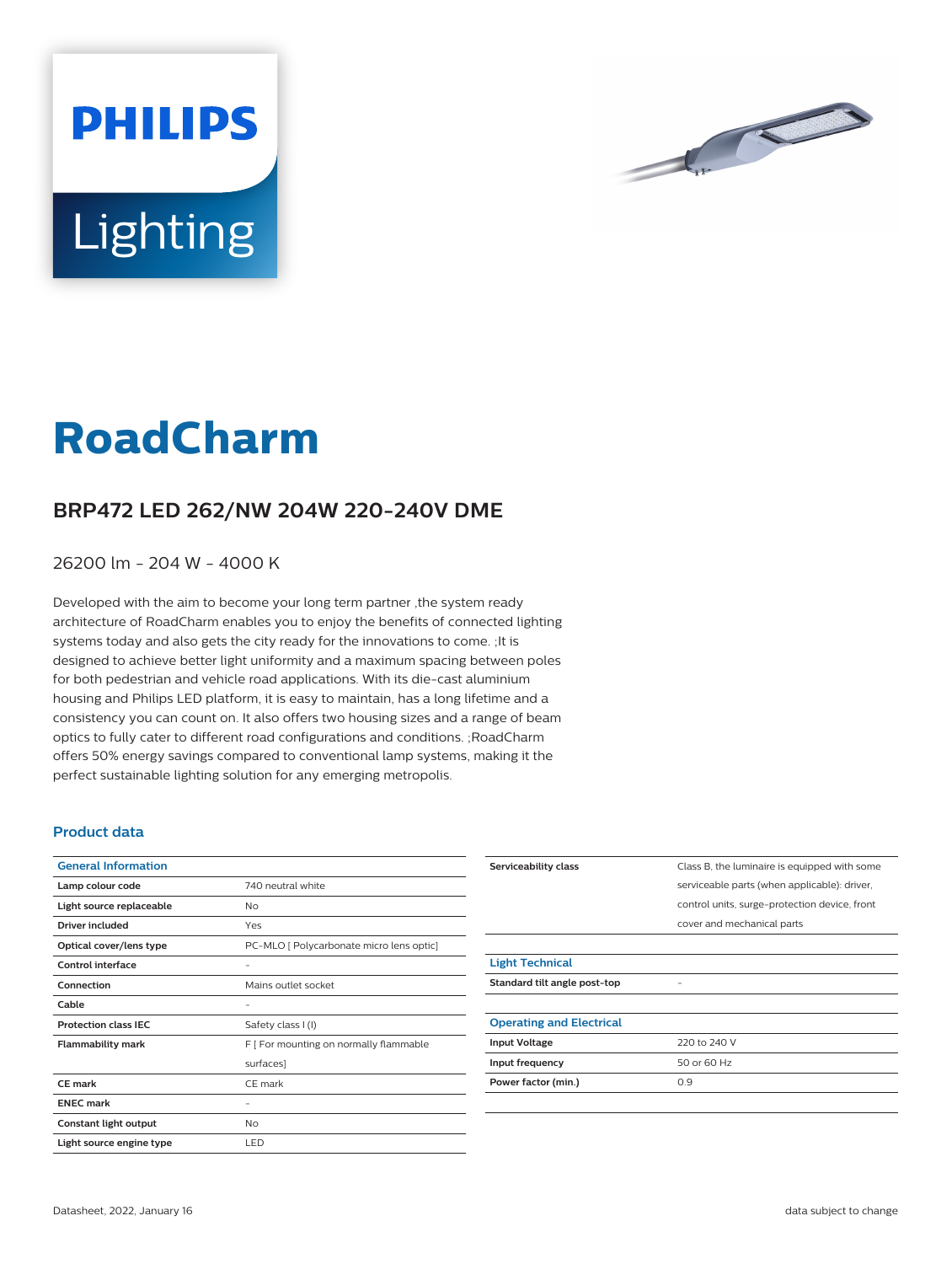



## **RoadCharm**

## **BRP472 LED 262/NW 204W 220-240V DME**

26200 lm - 204 W - 4000 K

Developed with the aim to become your long term partner ,the system ready architecture of RoadCharm enables you to enjoy the benefits of connected lighting systems today and also gets the city ready for the innovations to come. ;It is designed to achieve better light uniformity and a maximum spacing between poles for both pedestrian and vehicle road applications. With its die-cast aluminium housing and Philips LED platform, it is easy to maintain, has a long lifetime and a consistency you can count on. It also offers two housing sizes and a range of beam optics to fully cater to different road configurations and conditions. ;RoadCharm offers 50% energy savings compared to conventional lamp systems, making it the perfect sustainable lighting solution for any emerging metropolis.

## **Product data**

| <b>General Information</b>  |                                          |
|-----------------------------|------------------------------------------|
| Lamp colour code            | 740 neutral white                        |
| Light source replaceable    | No                                       |
| Driver included             | Yes                                      |
| Optical cover/lens type     | PC-MLO [ Polycarbonate micro lens optic] |
| Control interface           |                                          |
| Connection                  | Mains outlet socket                      |
| Cable                       |                                          |
| <b>Protection class IEC</b> | Safety class I (I)                       |
| <b>Flammability mark</b>    | F [ For mounting on normally flammable   |
|                             | surfaces]                                |
| CF mark                     | CE mark                                  |
| <b>ENEC mark</b>            |                                          |
| Constant light output       | No                                       |
| Light source engine type    | LED                                      |

| Serviceability class            | Class B, the luminaire is equipped with some  |
|---------------------------------|-----------------------------------------------|
|                                 | serviceable parts (when applicable): driver,  |
|                                 | control units, surge-protection device, front |
|                                 | cover and mechanical parts                    |
|                                 |                                               |
| <b>Light Technical</b>          |                                               |
| Standard tilt angle post-top    |                                               |
|                                 |                                               |
| <b>Operating and Electrical</b> |                                               |
| <b>Input Voltage</b>            | 220 to 240 V                                  |
| Input frequency                 | 50 or 60 Hz                                   |
| Power factor (min.)             | 0.9                                           |
|                                 |                                               |